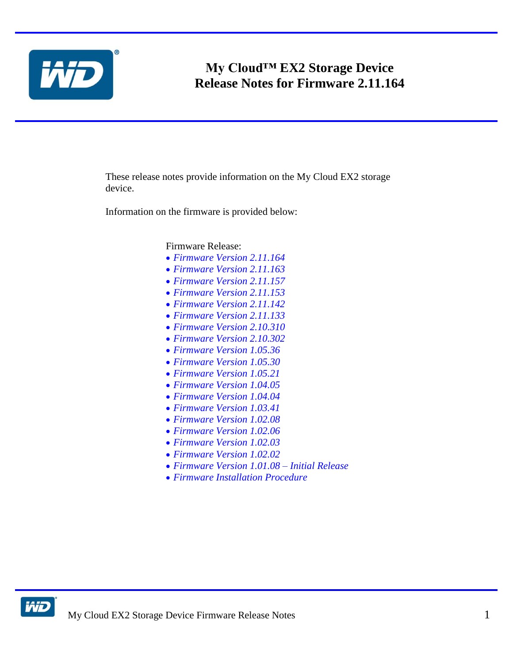

# **My Cloud™ EX2 Storage Device Release Notes for Firmware 2.11.164**

These release notes provide information on the My Cloud EX2 storage device.

Information on the firmware is provided below:

Firmware Release:

- *Firmware Version 2.11.164*
- *Firmware Version 2.11.163*
- *Firmware Version 2.11.157*
- *Firmware Version 2.11.153*
- *Firmware Version 2.11.142*
- *Firmware Version 2.11.133*
- *Firmware Version 2.10.310*
- *Firmware Version 2.10.302*
- *Firmware Version 1.05.36*
- *Firmware Version 1.05.30*
- *Firmware Version 1.05.21*
- *Firmware Version 1.04.05*
- *Firmware Version 1.04.04*
- *Firmware Version 1.03.41*
- *Firmware Version 1.02.08*
- *Firmware Version 1.02.06*
- *Firmware Version 1.02.03*
- *Firmware Version 1.02.02*
- *Firmware Version 1.01.08 – Initial Release*
- *Firmware Installation Procedure*

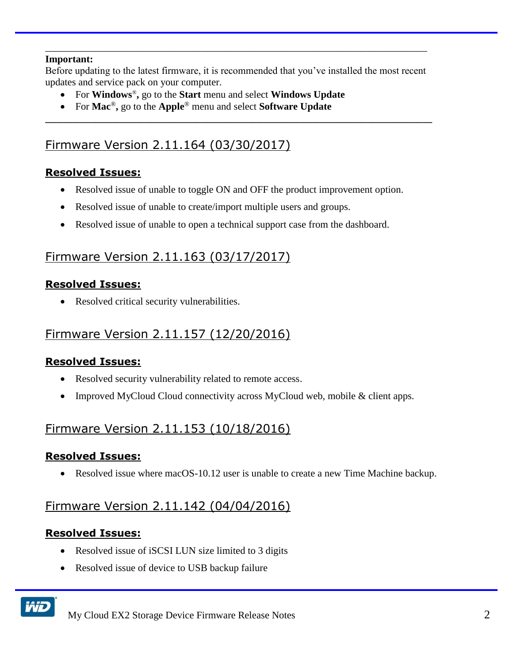### **Important:**

Before updating to the latest firmware, it is recommended that you've installed the most recent updates and service pack on your computer.

**\_\_\_\_\_\_\_\_\_\_\_\_\_\_\_\_\_\_\_\_\_\_\_\_\_\_\_\_\_\_\_\_\_\_\_\_\_\_\_\_\_\_\_\_\_\_\_\_\_\_\_\_\_\_\_\_\_\_\_\_\_\_\_\_\_\_\_\_\_\_\_\_\_\_\_\_\_**

\_\_\_\_\_\_\_\_\_\_\_\_\_\_\_\_\_\_\_\_\_\_\_\_\_\_\_\_\_\_\_\_\_\_\_\_\_\_\_\_\_\_\_\_\_\_\_\_\_\_\_\_\_\_\_\_\_\_\_\_\_\_\_\_\_\_\_\_\_\_\_\_\_\_\_\_

- For **Windows**®**,** go to the **Start** menu and select **Windows Update**
- For **Mac**®**,** go to the **Apple**® menu and select **Software Update**

# Firmware Version 2.11.164 (03/30/2017)

## **Resolved Issues:**

- Resolved issue of unable to toggle ON and OFF the product improvement option.
- Resolved issue of unable to create/import multiple users and groups.
- Resolved issue of unable to open a technical support case from the dashboard.

## Firmware Version 2.11.163 (03/17/2017)

## **Resolved Issues:**

Resolved critical security vulnerabilities.

# Firmware Version 2.11.157 (12/20/2016)

## **Resolved Issues:**

- Resolved security vulnerability related to remote access.
- Improved MyCloud Cloud connectivity across MyCloud web, mobile & client apps.

# Firmware Version 2.11.153 (10/18/2016)

## **Resolved Issues:**

Resolved issue where macOS-10.12 user is unable to create a new Time Machine backup.

# Firmware Version 2.11.142 (04/04/2016)

- Resolved issue of iSCSI LUN size limited to 3 digits
- Resolved issue of device to USB backup failure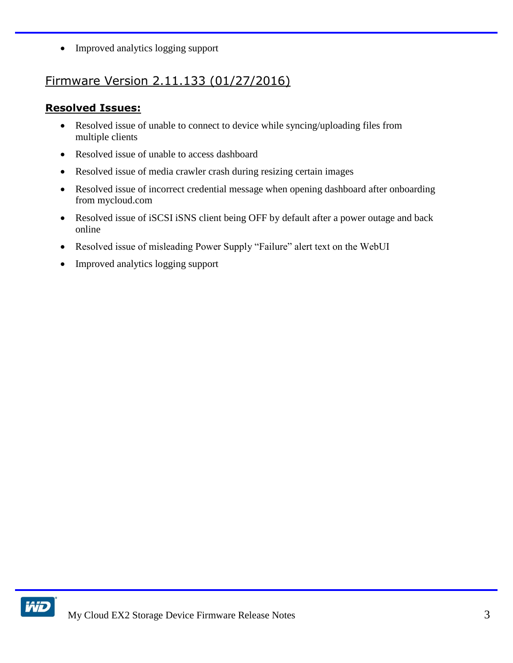• Improved analytics logging support

# Firmware Version 2.11.133 (01/27/2016)

- Resolved issue of unable to connect to device while syncing/uploading files from multiple clients
- Resolved issue of unable to access dashboard
- Resolved issue of media crawler crash during resizing certain images
- Resolved issue of incorrect credential message when opening dashboard after onboarding from mycloud.com
- Resolved issue of iSCSI iSNS client being OFF by default after a power outage and back online
- Resolved issue of misleading Power Supply "Failure" alert text on the WebUI
- Improved analytics logging support

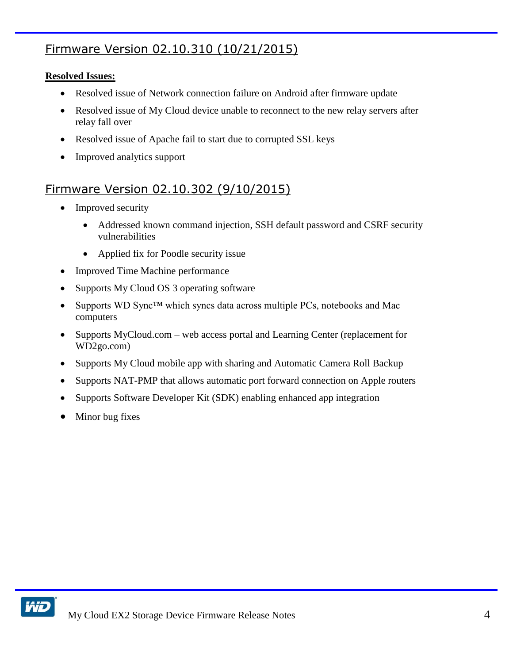# Firmware Version 02.10.310 (10/21/2015)

### **Resolved Issues:**

- Resolved issue of Network connection failure on Android after firmware update
- Resolved issue of My Cloud device unable to reconnect to the new relay servers after relay fall over
- Resolved issue of Apache fail to start due to corrupted SSL keys
- Improved analytics support

# Firmware Version 02.10.302 (9/10/2015)

- Improved security
	- Addressed known command injection, SSH default password and CSRF security vulnerabilities
	- Applied fix for Poodle security issue
- Improved Time Machine performance
- Supports My Cloud OS 3 operating software
- Supports WD Sync™ which syncs data across multiple PCs, notebooks and Mac computers
- Supports MyCloud.com web access portal and Learning Center (replacement for WD2go.com)
- Supports My Cloud mobile app with sharing and Automatic Camera Roll Backup
- Supports NAT-PMP that allows automatic port forward connection on Apple routers
- Supports Software Developer Kit (SDK) enabling enhanced app integration
- Minor bug fixes

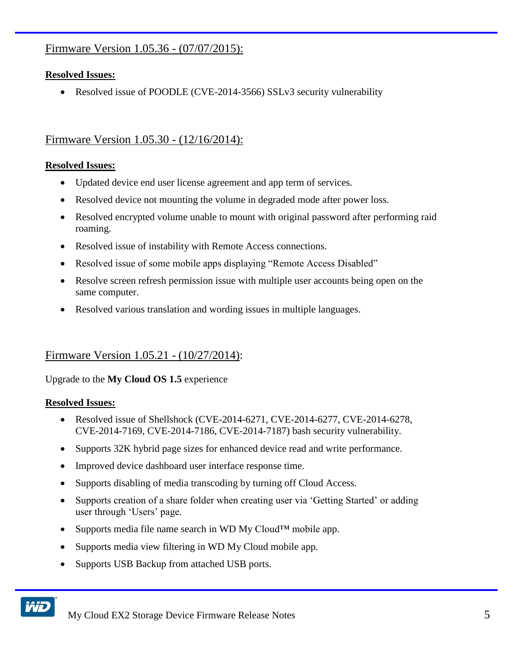## Firmware Version 1.05.36 - (07/07/2015):

### **Resolved Issues:**

Resolved issue of POODLE (CVE-2014-3566) SSLv3 security vulnerability

## Firmware Version 1.05.30 - (12/16/2014):

#### **Resolved Issues:**

- Updated device end user license agreement and app term of services.
- Resolved device not mounting the volume in degraded mode after power loss.
- Resolved encrypted volume unable to mount with original password after performing raid roaming.
- Resolved issue of instability with Remote Access connections.
- Resolved issue of some mobile apps displaying "Remote Access Disabled"
- Resolve screen refresh permission issue with multiple user accounts being open on the same computer.
- Resolved various translation and wording issues in multiple languages.

### Firmware Version 1.05.21 - (10/27/2014):

#### Upgrade to the **My Cloud OS 1.5** experience

#### **Resolved Issues:**

iniz

- Resolved issue of Shellshock (CVE-2014-6271, CVE-2014-6277, CVE-2014-6278, CVE-2014-7169, CVE-2014-7186, CVE-2014-7187) bash security vulnerability.
- Supports 32K hybrid page sizes for enhanced device read and write performance.
- Improved device dashboard user interface response time.
- Supports disabling of media transcoding by turning off Cloud Access.
- Supports creation of a share folder when creating user via 'Getting Started' or adding user through 'Users' page.
- Supports media file name search in WD My Cloud™ mobile app.
- Supports media view filtering in WD My Cloud mobile app.
- Supports USB Backup from attached USB ports.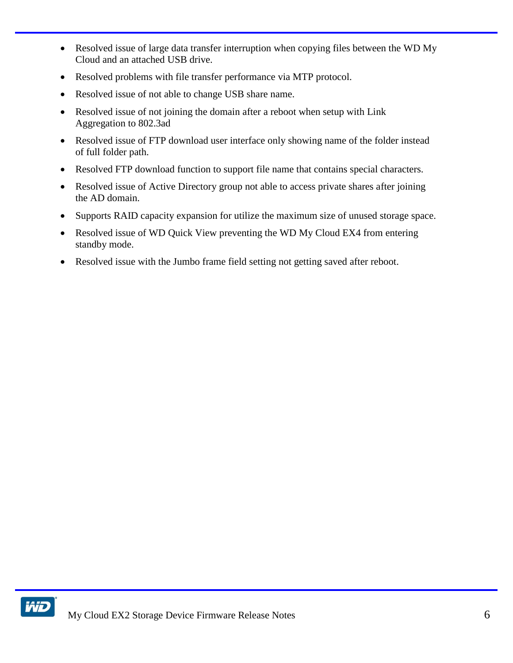- Resolved issue of large data transfer interruption when copying files between the WD My Cloud and an attached USB drive.
- Resolved problems with file transfer performance via MTP protocol.
- Resolved issue of not able to change USB share name.
- Resolved issue of not joining the domain after a reboot when setup with Link Aggregation to 802.3ad
- Resolved issue of FTP download user interface only showing name of the folder instead of full folder path.
- Resolved FTP download function to support file name that contains special characters.
- Resolved issue of Active Directory group not able to access private shares after joining the AD domain.
- Supports RAID capacity expansion for utilize the maximum size of unused storage space.
- Resolved issue of WD Quick View preventing the WD My Cloud EX4 from entering standby mode.
- Resolved issue with the Jumbo frame field setting not getting saved after reboot.

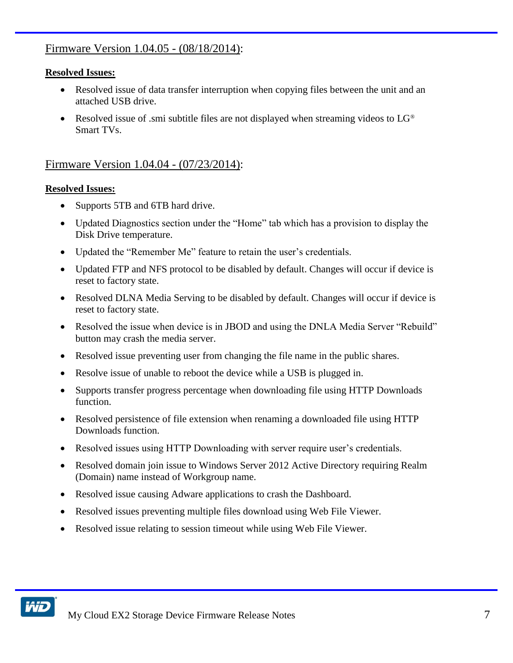## Firmware Version 1.04.05 - (08/18/2014):

#### **Resolved Issues:**

- Resolved issue of data transfer interruption when copying files between the unit and an attached USB drive.
- Resolved issue of .smi subtitle files are not displayed when streaming videos to  $LG^{\circledast}$ Smart TVs.

### Firmware Version 1.04.04 - (07/23/2014):

- Supports 5TB and 6TB hard drive.
- Updated Diagnostics section under the "Home" tab which has a provision to display the Disk Drive temperature.
- Updated the "Remember Me" feature to retain the user's credentials.
- Updated FTP and NFS protocol to be disabled by default. Changes will occur if device is reset to factory state.
- Resolved DLNA Media Serving to be disabled by default. Changes will occur if device is reset to factory state.
- Resolved the issue when device is in JBOD and using the DNLA Media Server "Rebuild" button may crash the media server.
- Resolved issue preventing user from changing the file name in the public shares.
- Resolve issue of unable to reboot the device while a USB is plugged in.
- Supports transfer progress percentage when downloading file using HTTP Downloads function.
- Resolved persistence of file extension when renaming a downloaded file using HTTP Downloads function.
- Resolved issues using HTTP Downloading with server require user's credentials.
- Resolved domain join issue to Windows Server 2012 Active Directory requiring Realm (Domain) name instead of Workgroup name.
- Resolved issue causing Adware applications to crash the Dashboard.
- Resolved issues preventing multiple files download using Web File Viewer.
- Resolved issue relating to session timeout while using Web File Viewer.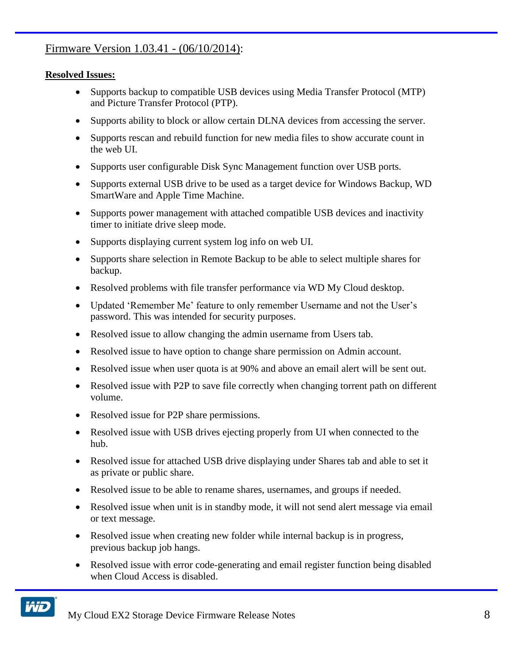## Firmware Version 1.03.41 - (06/10/2014):

- Supports backup to compatible USB devices using Media Transfer Protocol (MTP) and Picture Transfer Protocol (PTP).
- Supports ability to block or allow certain DLNA devices from accessing the server.
- Supports rescan and rebuild function for new media files to show accurate count in the web UI.
- Supports user configurable Disk Sync Management function over USB ports.
- Supports external USB drive to be used as a target device for Windows Backup, WD SmartWare and Apple Time Machine.
- Supports power management with attached compatible USB devices and inactivity timer to initiate drive sleep mode.
- Supports displaying current system log info on web UI.
- Supports share selection in Remote Backup to be able to select multiple shares for backup.
- Resolved problems with file transfer performance via WD My Cloud desktop.
- Updated 'Remember Me' feature to only remember Username and not the User's password. This was intended for security purposes.
- Resolved issue to allow changing the admin username from Users tab.
- Resolved issue to have option to change share permission on Admin account.
- Resolved issue when user quota is at 90% and above an email alert will be sent out.
- Resolved issue with P2P to save file correctly when changing torrent path on different volume.
- Resolved issue for P2P share permissions.
- Resolved issue with USB drives ejecting properly from UI when connected to the hub.
- Resolved issue for attached USB drive displaying under Shares tab and able to set it as private or public share.
- Resolved issue to be able to rename shares, usernames, and groups if needed.
- Resolved issue when unit is in standby mode, it will not send alert message via email or text message.
- Resolved issue when creating new folder while internal backup is in progress, previous backup job hangs.
- Resolved issue with error code-generating and email register function being disabled when Cloud Access is disabled.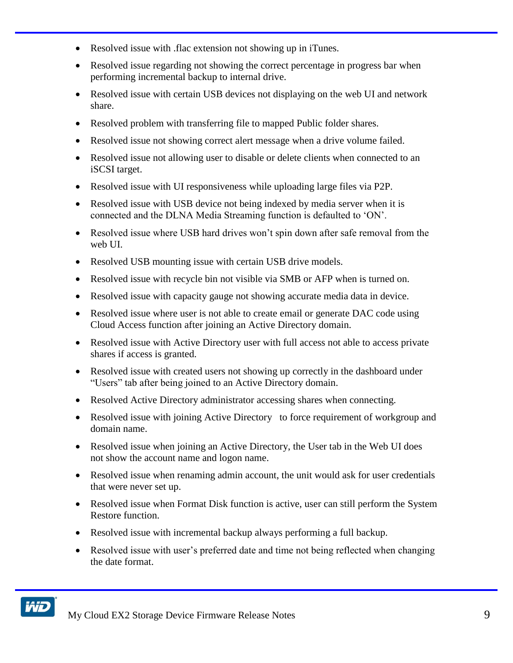- Resolved issue with .flac extension not showing up in iTunes.
- Resolved issue regarding not showing the correct percentage in progress bar when performing incremental backup to internal drive.
- Resolved issue with certain USB devices not displaying on the web UI and network share.
- Resolved problem with transferring file to mapped Public folder shares.
- Resolved issue not showing correct alert message when a drive volume failed.
- Resolved issue not allowing user to disable or delete clients when connected to an iSCSI target.
- Resolved issue with UI responsiveness while uploading large files via P2P.
- Resolved issue with USB device not being indexed by media server when it is connected and the DLNA Media Streaming function is defaulted to 'ON'.
- Resolved issue where USB hard drives won't spin down after safe removal from the web UI.
- Resolved USB mounting issue with certain USB drive models.
- Resolved issue with recycle bin not visible via SMB or AFP when is turned on.
- Resolved issue with capacity gauge not showing accurate media data in device.
- Resolved issue where user is not able to create email or generate DAC code using Cloud Access function after joining an Active Directory domain.
- Resolved issue with Active Directory user with full access not able to access private shares if access is granted.
- Resolved issue with created users not showing up correctly in the dashboard under "Users" tab after being joined to an Active Directory domain.
- Resolved Active Directory administrator accessing shares when connecting.
- Resolved issue with joining Active Directory to force requirement of workgroup and domain name.
- Resolved issue when joining an Active Directory, the User tab in the Web UI does not show the account name and logon name.
- Resolved issue when renaming admin account, the unit would ask for user credentials that were never set up.
- Resolved issue when Format Disk function is active, user can still perform the System Restore function.
- Resolved issue with incremental backup always performing a full backup.
- Resolved issue with user's preferred date and time not being reflected when changing the date format.

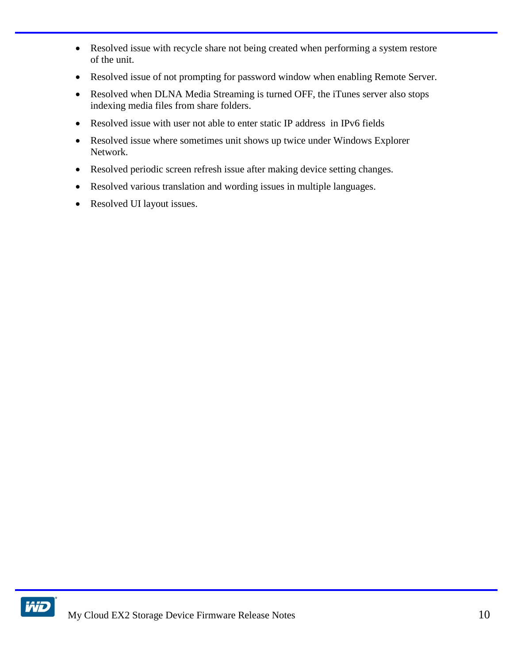- Resolved issue with recycle share not being created when performing a system restore of the unit.
- Resolved issue of not prompting for password window when enabling Remote Server.
- Resolved when DLNA Media Streaming is turned OFF, the iTunes server also stops indexing media files from share folders.
- Resolved issue with user not able to enter static IP address in IPv6 fields
- Resolved issue where sometimes unit shows up twice under Windows Explorer Network.
- Resolved periodic screen refresh issue after making device setting changes.
- Resolved various translation and wording issues in multiple languages.
- Resolved UI layout issues.

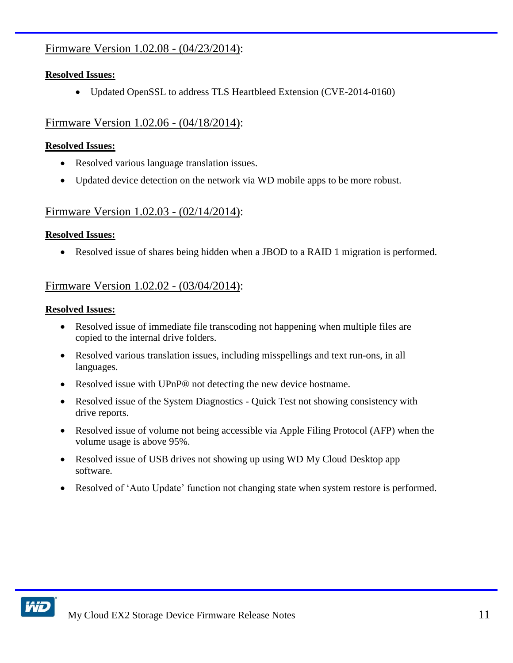## Firmware Version 1.02.08 - (04/23/2014):

### **Resolved Issues:**

• Updated OpenSSL to address TLS Heartbleed Extension (CVE-2014-0160)

## Firmware Version 1.02.06 - (04/18/2014):

#### **Resolved Issues:**

- Resolved various language translation issues.
- Updated device detection on the network via WD mobile apps to be more robust.

### Firmware Version 1.02.03 - (02/14/2014):

#### **Resolved Issues:**

Resolved issue of shares being hidden when a JBOD to a RAID 1 migration is performed.

## Firmware Version 1.02.02 - (03/04/2014):

- Resolved issue of immediate file transcoding not happening when multiple files are copied to the internal drive folders.
- Resolved various translation issues, including misspellings and text run-ons, in all languages.
- Resolved issue with UPnP® not detecting the new device hostname.
- Resolved issue of the System Diagnostics Quick Test not showing consistency with drive reports.
- Resolved issue of volume not being accessible via Apple Filing Protocol (AFP) when the volume usage is above 95%.
- Resolved issue of USB drives not showing up using WD My Cloud Desktop app software.
- Resolved of 'Auto Update' function not changing state when system restore is performed.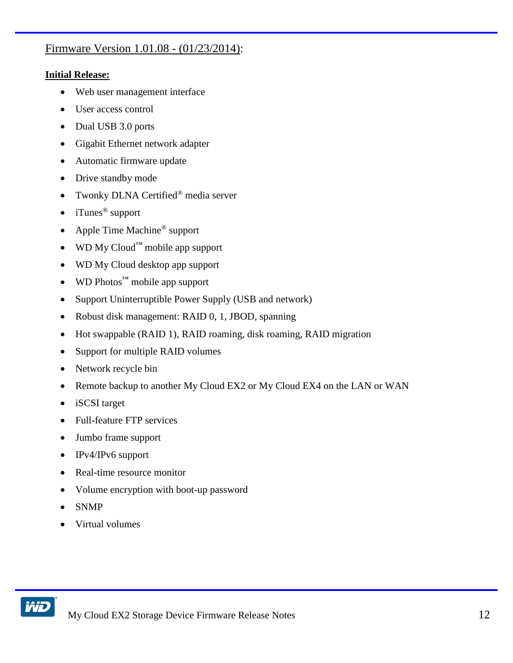## Firmware Version 1.01.08 - (01/23/2014):

#### **Initial Release:**

- Web user management interface
- User access control
- Dual USB 3.0 ports
- Gigabit Ethernet network adapter
- Automatic firmware update
- Drive standby mode
- Twonky DLNA Certified<sup>®</sup> media server
- $\bullet$  iTunes<sup>®</sup> support
- Apple Time Machine<sup>®</sup> support
- WD My Cloud™ mobile app support
- WD My Cloud desktop app support
- WD Photos™ mobile app support
- Support Uninterruptible Power Supply (USB and network)
- Robust disk management: RAID 0, 1, JBOD, spanning
- Hot swappable (RAID 1), RAID roaming, disk roaming, RAID migration
- Support for multiple RAID volumes
- Network recycle bin
- Remote backup to another My Cloud EX2 or My Cloud EX4 on the LAN or WAN
- iSCSI target
- Full-feature FTP services
- Jumbo frame support
- IPv4/IPv6 support
- Real-time resource monitor
- Volume encryption with boot-up password
- SNMP
- Virtual volumes

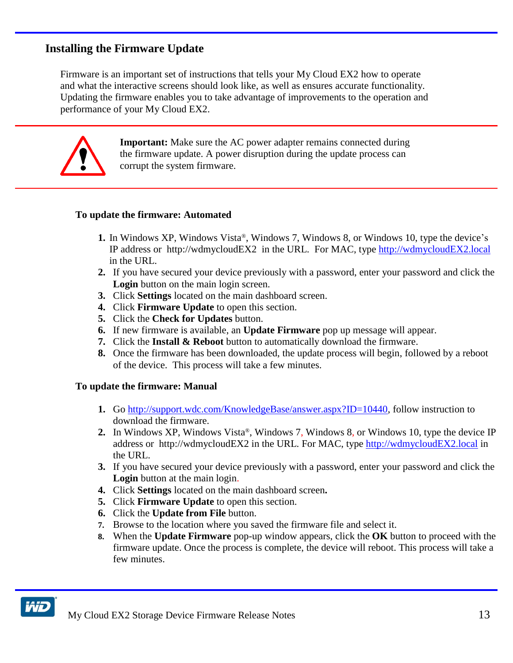## **Installing the Firmware Update**

Firmware is an important set of instructions that tells your My Cloud EX2 how to operate and what the interactive screens should look like, as well as ensures accurate functionality. Updating the firmware enables you to take advantage of improvements to the operation and performance of your My Cloud EX2.



**Important:** Make sure the AC power adapter remains connected during the firmware update. A power disruption during the update process can corrupt the system firmware.

#### **To update the firmware: Automated**

- **1.** In Windows XP, Windows Vista®, Windows 7, Windows 8, or Windows 10, type the device's IP address or http://wdmycloudEX2 in the URL. For MAC, type [http://wdmycloudEX2.local](http://wdmycloudex2.local/) in the URL.
- **2.** If you have secured your device previously with a password, enter your password and click the **Login** button on the main login screen.
- **3.** Click **Settings** located on the main dashboard screen.
- **4.** Click **Firmware Update** to open this section.
- **5.** Click the **Check for Updates** button.
- **6.** If new firmware is available, an **Update Firmware** pop up message will appear.
- **7.** Click the **Install & Reboot** button to automatically download the firmware.
- **8.** Once the firmware has been downloaded, the update process will begin, followed by a reboot of the device. This process will take a few minutes.

### **To update the firmware: Manual**

- **1.** Go [http://support.wdc.com/KnowledgeBase/answer.aspx?ID=10440,](http://support.wdc.com/KnowledgeBase/answer.aspx?ID=10440) follow instruction to download the firmware.
- **2.** In Windows XP, Windows Vista®, Windows 7, Windows 8, or Windows 10, type the device IP address or http://wdmycloudEX2 in the URL. For MAC, type [http://wdmycloudEX2.local](http://wdmycloudex2.local/) in the URL.
- **3.** If you have secured your device previously with a password, enter your password and click the **Login** button at the main login.
- **4.** Click **Settings** located on the main dashboard screen**.**
- **5.** Click **Firmware Update** to open this section.
- **6.** Click the **Update from File** button.
- **7.** Browse to the location where you saved the firmware file and select it.
- **8.** When the **Update Firmware** pop-up window appears, click the **OK** button to proceed with the firmware update. Once the process is complete, the device will reboot. This process will take a few minutes.